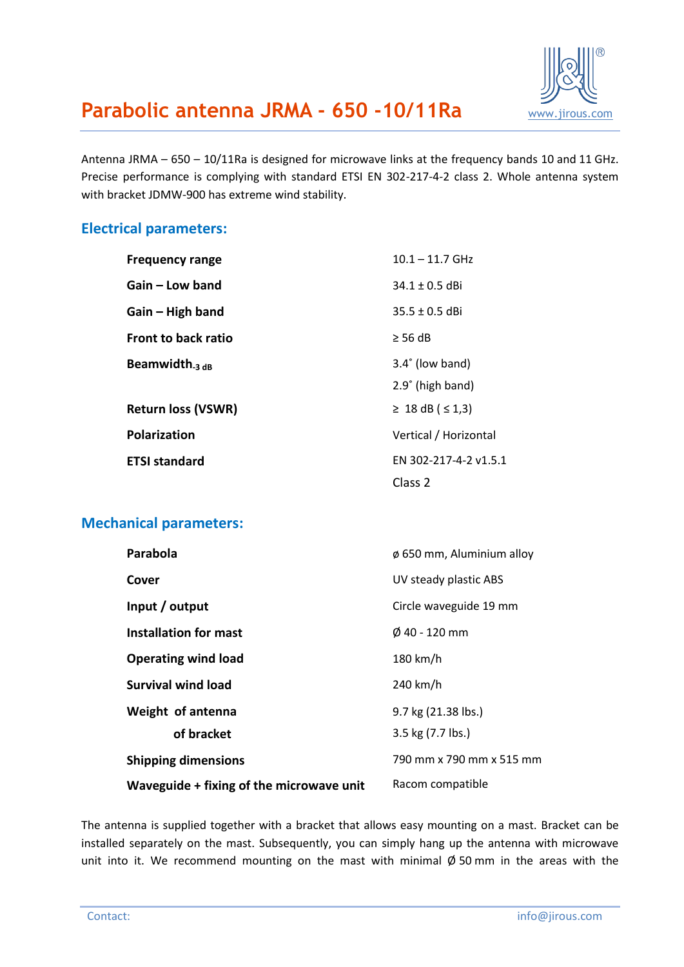

## **Parabolic antenna JRMA - 650 -10/11Ra** [www.jirous.com](http://www.jirous.com/)

Antenna JRMA – 650 – 10/11Ra is designed for microwave links at the frequency bands 10 and 11 GHz. Precise performance is complying with standard ETSI EN 302-217-4-2 class 2. Whole antenna system with bracket JDMW-900 has extreme wind stability.

#### **Electrical parameters:**

| <b>Frequency range</b>     | $10.1 - 11.7$ GHz        |
|----------------------------|--------------------------|
| Gain – Low band            | $34.1 \pm 0.5$ dBi       |
| Gain – High band           | $35.5 \pm 0.5$ dBi       |
| <b>Front to back ratio</b> | $\geq$ 56 dB             |
| Beamwidth $_3$ dB          | $3.4^{\circ}$ (low band) |
|                            | 2.9° (high band)         |
| <b>Return loss (VSWR)</b>  | ≥ 18 dB ( $\le$ 1,3)     |
| <b>Polarization</b>        | Vertical / Horizontal    |
| <b>ETSI standard</b>       | EN 302-217-4-2 v1.5.1    |
|                            | Class <sub>2</sub>       |

#### **Mechanical parameters:**

| Parabola                                 | $\phi$ 650 mm, Aluminium alloy |
|------------------------------------------|--------------------------------|
| Cover                                    | UV steady plastic ABS          |
| Input / output                           | Circle waveguide 19 mm         |
| Installation for mast                    | $\emptyset$ 40 - 120 mm        |
| <b>Operating wind load</b>               | 180 km/h                       |
| <b>Survival wind load</b>                | 240 km/h                       |
| Weight of antenna                        | 9.7 kg (21.38 lbs.)            |
| of bracket                               | 3.5 kg (7.7 lbs.)              |
| <b>Shipping dimensions</b>               | 790 mm x 790 mm x 515 mm       |
| Waveguide + fixing of the microwave unit | Racom compatible               |

The antenna is supplied together with a bracket that allows easy mounting on a mast. Bracket can be installed separately on the mast. Subsequently, you can simply hang up the antenna with microwave unit into it. We recommend mounting on the mast with minimal  $\emptyset$  50 mm in the areas with the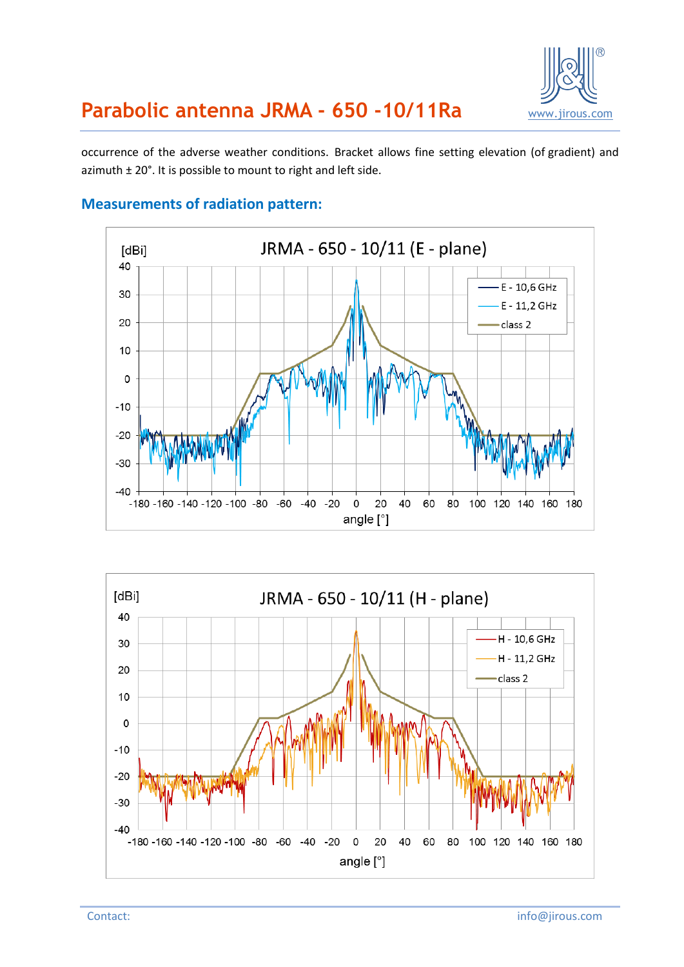

## **Parabolic antenna JRMA - 650 -10/11Ra** [www.jirous.com](http://www.jirous.com/)

occurrence of the adverse weather conditions. Bracket allows fine setting elevation (of gradient) and azimuth ± 20°. It is possible to mount to right and left side.



#### **Measurements of radiation pattern:**

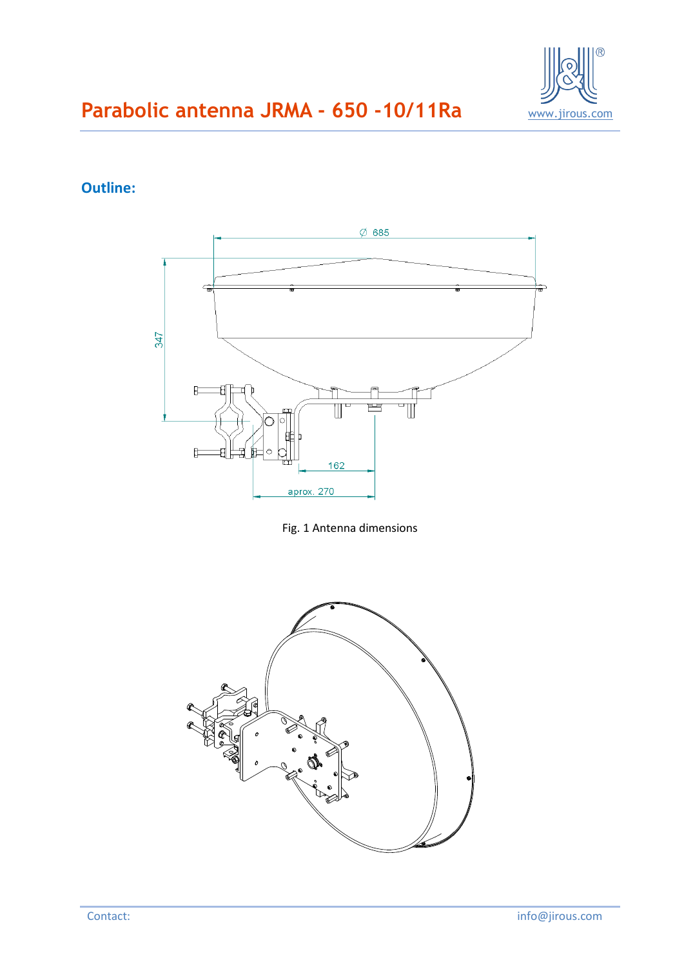

### **Outline:**



Fig. 1 Antenna dimensions